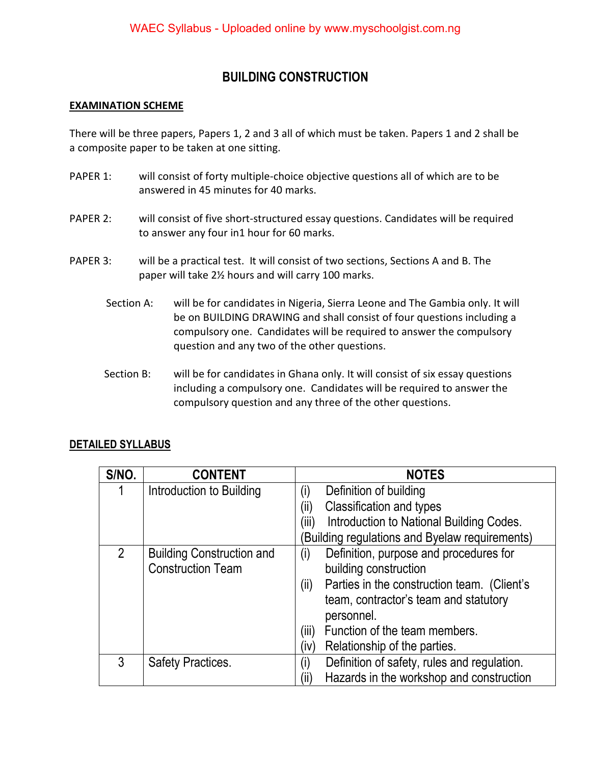## **BUILDING CONSTRUCTION**

## **EXAMINATION SCHEME**

There will be three papers, Papers 1, 2 and 3 all of which must be taken. Papers 1 and 2 shall be a composite paper to be taken at one sitting.

- PAPER 1: will consist of forty multiple-choice objective questions all of which are to be answered in 45 minutes for 40 marks.
- PAPER 2: will consist of five short-structured essay questions. Candidates will be required to answer any four in1 hour for 60 marks.
- PAPER 3: will be a practical test. It will consist of two sections, Sections A and B. The paper will take 2½ hours and will carry 100 marks.
	- Section A: will be for candidates in Nigeria, Sierra Leone and The Gambia only. It will be on BUILDING DRAWING and shall consist of four questions including a compulsory one. Candidates will be required to answer the compulsory question and any two of the other questions.
	- Section B: will be for candidates in Ghana only. It will consist of six essay questions including a compulsory one. Candidates will be required to answer the compulsory question and any three of the other questions.

## **DETAILED SYLLABUS**

| S/NO.          | <b>CONTENT</b>                                               | <b>NOTES</b>                                                                                               |
|----------------|--------------------------------------------------------------|------------------------------------------------------------------------------------------------------------|
|                | Introduction to Building                                     | Definition of building<br>(i)                                                                              |
|                |                                                              | Classification and types<br>(iij)                                                                          |
|                |                                                              | (iii)<br>Introduction to National Building Codes.                                                          |
|                |                                                              | Building regulations and Byelaw requirements)                                                              |
| $\overline{2}$ | <b>Building Construction and</b><br><b>Construction Team</b> | Definition, purpose and procedures for<br>(i)<br>building construction                                     |
|                |                                                              | Parties in the construction team. (Client's<br>(ii)<br>team, contractor's team and statutory<br>personnel. |
|                |                                                              | Function of the team members.<br>(iii)                                                                     |
|                |                                                              | Relationship of the parties.<br>(iv)                                                                       |
| 3              | <b>Safety Practices.</b>                                     | Definition of safety, rules and regulation.<br>(i)                                                         |
|                |                                                              | Hazards in the workshop and construction<br>(ii)                                                           |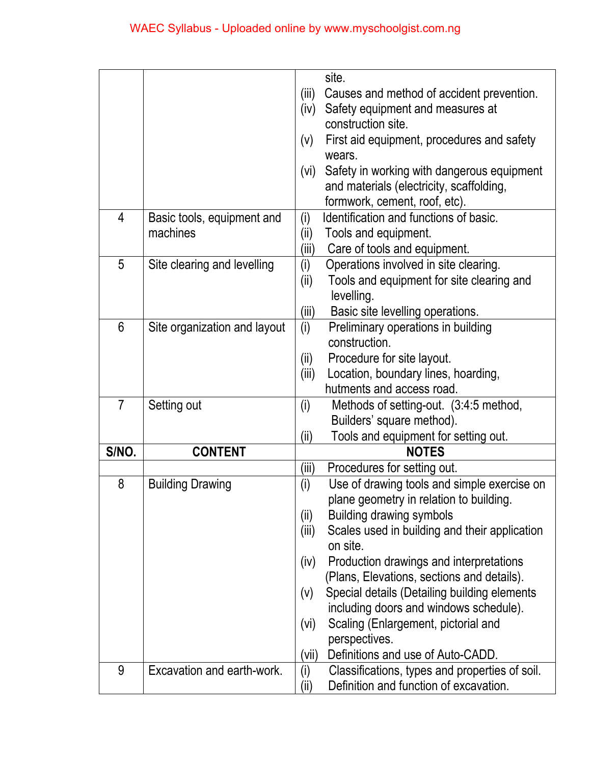|                |                              | site. |                                                    |  |  |
|----------------|------------------------------|-------|----------------------------------------------------|--|--|
|                |                              |       | (iii)<br>Causes and method of accident prevention. |  |  |
|                |                              | (iv)  | Safety equipment and measures at                   |  |  |
|                |                              |       | construction site.                                 |  |  |
|                |                              | (V)   | First aid equipment, procedures and safety         |  |  |
|                |                              |       | wears.                                             |  |  |
|                |                              | (vi)  | Safety in working with dangerous equipment         |  |  |
|                |                              |       | and materials (electricity, scaffolding,           |  |  |
|                |                              |       | formwork, cement, roof, etc).                      |  |  |
| 4              | Basic tools, equipment and   | (i)   | Identification and functions of basic.             |  |  |
|                | machines                     | (ii)  | Tools and equipment.                               |  |  |
|                |                              | (iii) | Care of tools and equipment.                       |  |  |
| 5              | Site clearing and levelling  | (i)   | Operations involved in site clearing.              |  |  |
|                |                              | (i)   | Tools and equipment for site clearing and          |  |  |
|                |                              |       | levelling.                                         |  |  |
|                |                              | (iii) | Basic site levelling operations.                   |  |  |
| 6              | Site organization and layout | (i)   | Preliminary operations in building                 |  |  |
|                |                              |       | construction.                                      |  |  |
|                |                              | (i)   | Procedure for site layout.                         |  |  |
|                |                              | (iii) | Location, boundary lines, hoarding,                |  |  |
|                |                              |       | hutments and access road.                          |  |  |
| $\overline{7}$ | Setting out                  | (i)   | Methods of setting-out. (3:4:5 method,             |  |  |
|                |                              |       | Builders' square method).                          |  |  |
|                |                              | (ii)  | Tools and equipment for setting out.               |  |  |
| S/NO.          | <b>CONTENT</b>               |       | <b>NOTES</b>                                       |  |  |
|                |                              | (iii) | Procedures for setting out.                        |  |  |
| 8              | <b>Building Drawing</b>      | (i)   | Use of drawing tools and simple exercise on        |  |  |
|                |                              |       | plane geometry in relation to building.            |  |  |
|                |                              | (ii)  | <b>Building drawing symbols</b>                    |  |  |
|                |                              | (iii) | Scales used in building and their application      |  |  |
|                |                              |       | on site.                                           |  |  |
|                |                              | (iv)  | Production drawings and interpretations            |  |  |
|                |                              |       | (Plans, Elevations, sections and details).         |  |  |
|                |                              | (V)   | Special details (Detailing building elements       |  |  |
|                |                              |       | including doors and windows schedule).             |  |  |
|                |                              | (vi)  | Scaling (Enlargement, pictorial and                |  |  |
|                |                              |       | perspectives.                                      |  |  |
|                |                              | (vii) | Definitions and use of Auto-CADD.                  |  |  |
| 9              | Excavation and earth-work.   | (i)   | Classifications, types and properties of soil.     |  |  |
|                |                              | (ii)  | Definition and function of excavation.             |  |  |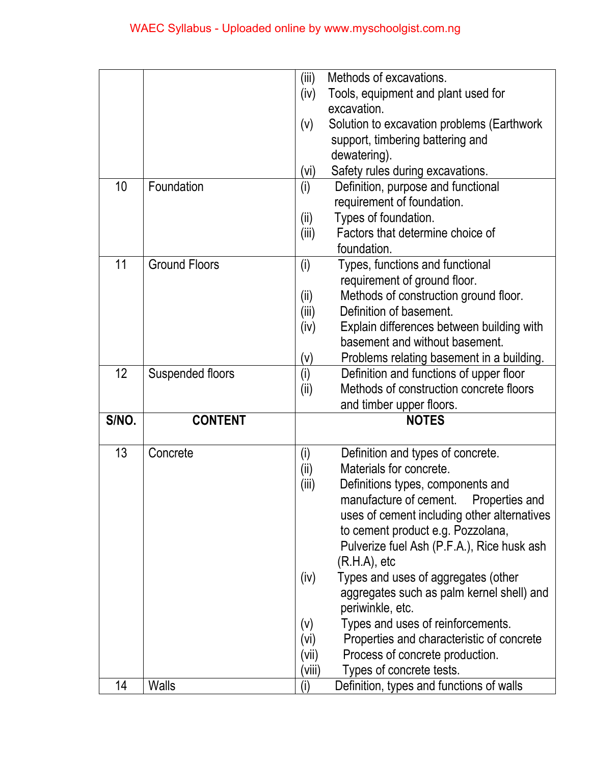|       |                         | (iii)                                       | Methods of excavations.                                       |  |  |
|-------|-------------------------|---------------------------------------------|---------------------------------------------------------------|--|--|
|       |                         | Tools, equipment and plant used for<br>(iv) |                                                               |  |  |
|       |                         |                                             | excavation.                                                   |  |  |
|       |                         | (v)                                         | Solution to excavation problems (Earthwork                    |  |  |
|       |                         |                                             | support, timbering battering and                              |  |  |
|       |                         |                                             | dewatering).                                                  |  |  |
|       |                         | (vi)                                        | Safety rules during excavations.                              |  |  |
| 10    | Foundation              | (i)                                         | Definition, purpose and functional                            |  |  |
|       |                         |                                             | requirement of foundation.                                    |  |  |
|       |                         | (ii)                                        | Types of foundation.                                          |  |  |
|       |                         | (iii)                                       | Factors that determine choice of                              |  |  |
|       |                         |                                             | foundation.                                                   |  |  |
| 11    | <b>Ground Floors</b>    | (i)                                         | Types, functions and functional                               |  |  |
|       |                         |                                             | requirement of ground floor.                                  |  |  |
|       |                         | (ii)                                        | Methods of construction ground floor.                         |  |  |
|       |                         | (iii)                                       | Definition of basement.                                       |  |  |
|       |                         | (iv)                                        | Explain differences between building with                     |  |  |
|       |                         |                                             | basement and without basement.                                |  |  |
|       |                         | (v)                                         | Problems relating basement in a building.                     |  |  |
| 12    | <b>Suspended floors</b> | (i)                                         | Definition and functions of upper floor                       |  |  |
|       |                         | (i)                                         | Methods of construction concrete floors                       |  |  |
|       |                         |                                             | and timber upper floors.                                      |  |  |
| S/NO. | <b>CONTENT</b>          |                                             | <b>NOTES</b>                                                  |  |  |
| 13    | Concrete                | (i)                                         | Definition and types of concrete.                             |  |  |
|       |                         | (i)                                         | Materials for concrete.                                       |  |  |
|       |                         | (iii)                                       | Definitions types, components and                             |  |  |
|       |                         |                                             | manufacture of cement. Properties and                         |  |  |
|       |                         |                                             | uses of cement including other alternatives                   |  |  |
|       |                         |                                             | to cement product e.g. Pozzolana,                             |  |  |
|       |                         |                                             | Pulverize fuel Ash (P.F.A.), Rice husk ash                    |  |  |
|       |                         |                                             | (R.H.A), etc                                                  |  |  |
|       |                         | (iv)                                        | Types and uses of aggregates (other                           |  |  |
|       |                         |                                             | aggregates such as palm kernel shell) and<br>periwinkle, etc. |  |  |
|       |                         | (V)                                         | Types and uses of reinforcements.                             |  |  |
|       |                         | (vi)                                        | Properties and characteristic of concrete                     |  |  |
|       |                         | (vii)                                       | Process of concrete production.                               |  |  |
|       |                         | (viii)                                      | Types of concrete tests.                                      |  |  |
| 14    | <b>Walls</b>            | (i)                                         | Definition, types and functions of walls                      |  |  |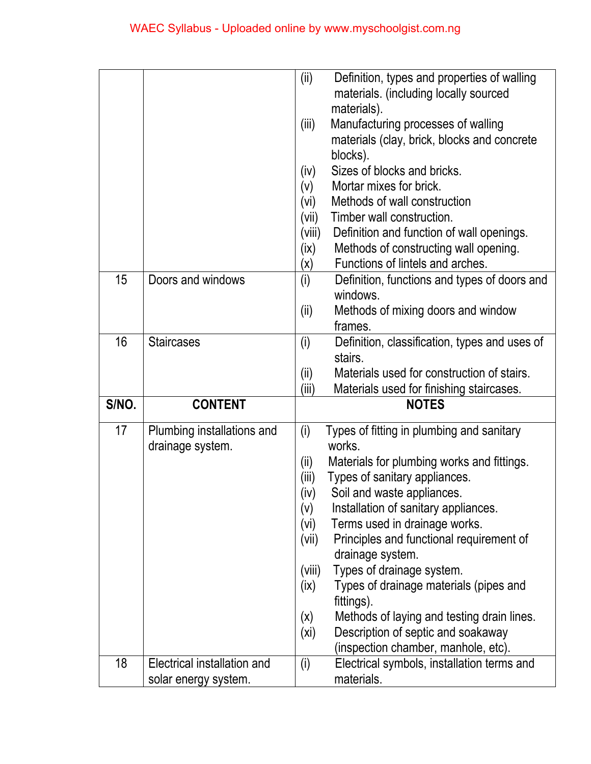|       |                                                     | (ii)<br>(iii)<br>(iv)<br>(V)<br>(vi)<br>(vii)<br>(viii)<br>(ix)<br>$(\mathsf{x})$                  | Definition, types and properties of walling<br>materials. (including locally sourced<br>materials).<br>Manufacturing processes of walling<br>materials (clay, brick, blocks and concrete<br>blocks).<br>Sizes of blocks and bricks.<br>Mortar mixes for brick.<br>Methods of wall construction<br>Timber wall construction.<br>Definition and function of wall openings.<br>Methods of constructing wall opening.<br>Functions of lintels and arches.                                                                     |
|-------|-----------------------------------------------------|----------------------------------------------------------------------------------------------------|---------------------------------------------------------------------------------------------------------------------------------------------------------------------------------------------------------------------------------------------------------------------------------------------------------------------------------------------------------------------------------------------------------------------------------------------------------------------------------------------------------------------------|
| 15    | Doors and windows                                   | (i)<br>(ii)                                                                                        | Definition, functions and types of doors and<br>windows.<br>Methods of mixing doors and window<br>frames.                                                                                                                                                                                                                                                                                                                                                                                                                 |
| 16    | <b>Staircases</b>                                   | (i)<br>(i)                                                                                         | Definition, classification, types and uses of<br>stairs.<br>Materials used for construction of stairs.                                                                                                                                                                                                                                                                                                                                                                                                                    |
| S/NO. | <b>CONTENT</b>                                      | (iii)                                                                                              | Materials used for finishing staircases.<br><b>NOTES</b>                                                                                                                                                                                                                                                                                                                                                                                                                                                                  |
| 17    |                                                     |                                                                                                    |                                                                                                                                                                                                                                                                                                                                                                                                                                                                                                                           |
|       | Plumbing installations and<br>drainage system.      | (i)<br>(ii)<br>(iii)<br>(iv)<br>(v)<br>(vi)<br>(vii)<br>(viii)<br>(ix)<br>(x)<br>(x <sub>i</sub> ) | Types of fitting in plumbing and sanitary<br>works.<br>Materials for plumbing works and fittings.<br>Types of sanitary appliances.<br>Soil and waste appliances.<br>Installation of sanitary appliances.<br>Terms used in drainage works.<br>Principles and functional requirement of<br>drainage system.<br>Types of drainage system.<br>Types of drainage materials (pipes and<br>fittings).<br>Methods of laying and testing drain lines.<br>Description of septic and soakaway<br>(inspection chamber, manhole, etc). |
| 18    |                                                     |                                                                                                    |                                                                                                                                                                                                                                                                                                                                                                                                                                                                                                                           |
|       | Electrical installation and<br>solar energy system. | (i)                                                                                                | Electrical symbols, installation terms and<br>materials.                                                                                                                                                                                                                                                                                                                                                                                                                                                                  |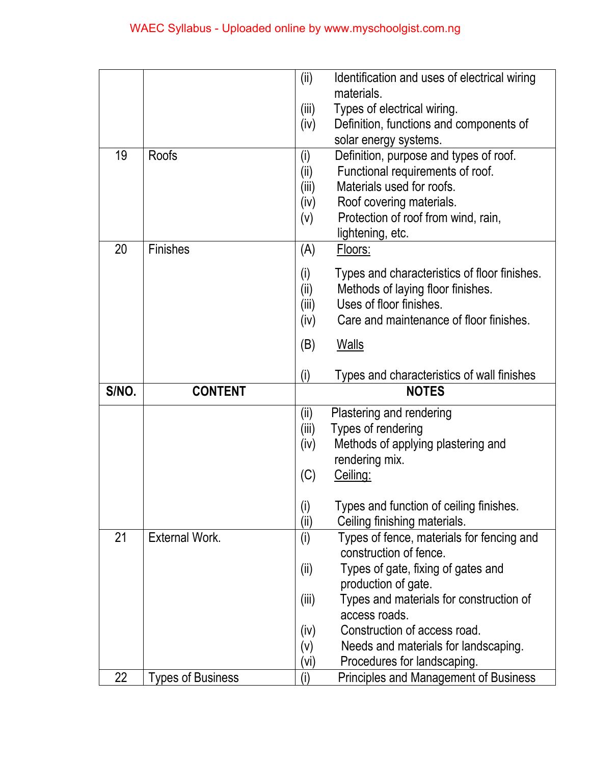|       |                          | (ii)        | Identification and uses of electrical wiring                                |  |  |
|-------|--------------------------|-------------|-----------------------------------------------------------------------------|--|--|
|       |                          |             | materials.                                                                  |  |  |
|       |                          | (iii)       | Types of electrical wiring.                                                 |  |  |
|       |                          | (iv)        | Definition, functions and components of                                     |  |  |
|       |                          |             | solar energy systems.                                                       |  |  |
| 19    | <b>Roofs</b>             | (i)         | Definition, purpose and types of roof.                                      |  |  |
|       |                          | (ii)        | Functional requirements of roof.                                            |  |  |
|       |                          | (iii)       | Materials used for roofs.                                                   |  |  |
|       |                          | (iv)        | Roof covering materials.                                                    |  |  |
|       |                          | (v)         | Protection of roof from wind, rain,                                         |  |  |
| 20    | <b>Finishes</b>          | (A)         | lightening, etc.<br>Floors:                                                 |  |  |
|       |                          |             |                                                                             |  |  |
|       |                          | (i)         | Types and characteristics of floor finishes.                                |  |  |
|       |                          | (ii)        | Methods of laying floor finishes.<br>Uses of floor finishes.                |  |  |
|       |                          | (iii)       | Care and maintenance of floor finishes.                                     |  |  |
|       |                          | (iv)        |                                                                             |  |  |
|       |                          | (B)         | <b>Walls</b>                                                                |  |  |
|       |                          |             |                                                                             |  |  |
|       |                          |             | Types and characteristics of wall finishes                                  |  |  |
| S/NO. | <b>CONTENT</b>           | (i)         | <b>NOTES</b>                                                                |  |  |
|       |                          |             |                                                                             |  |  |
|       |                          | (ii)        | Plastering and rendering                                                    |  |  |
|       |                          | (iii)       | Types of rendering<br>Methods of applying plastering and                    |  |  |
|       |                          | (iv)        | rendering mix.                                                              |  |  |
|       |                          | (C)         | Ceiling:                                                                    |  |  |
|       |                          |             |                                                                             |  |  |
|       |                          | (i)         | Types and function of ceiling finishes.                                     |  |  |
| 21    | External Work.           | (iii)       | Ceiling finishing materials.                                                |  |  |
|       |                          | (i)         | Types of fence, materials for fencing and<br>construction of fence.         |  |  |
|       |                          |             | Types of gate, fixing of gates and                                          |  |  |
|       |                          | (ii)        | production of gate.                                                         |  |  |
|       |                          | (iii)       | Types and materials for construction of                                     |  |  |
|       |                          |             | access roads.                                                               |  |  |
|       |                          | (iv)        | Construction of access road.                                                |  |  |
|       |                          | (v)         | Needs and materials for landscaping.                                        |  |  |
| 22    | <b>Types of Business</b> | (vi)<br>(i) | Procedures for landscaping.<br><b>Principles and Management of Business</b> |  |  |